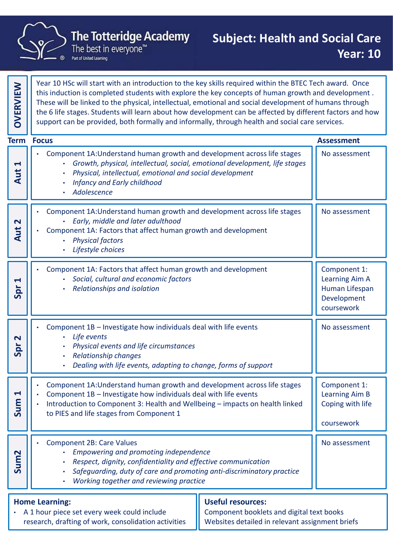

|                                              | The Totteridge Academy<br><b>Subject: Health and Social Care</b><br>The best in everyone™<br>Part of United Learning                                                                                                                                                                                                                                                                                                                                                                                                                     | <b>Year: 10</b>                                                               |
|----------------------------------------------|------------------------------------------------------------------------------------------------------------------------------------------------------------------------------------------------------------------------------------------------------------------------------------------------------------------------------------------------------------------------------------------------------------------------------------------------------------------------------------------------------------------------------------------|-------------------------------------------------------------------------------|
| <b>OVERVIEW</b>                              | Year 10 HSc will start with an introduction to the key skills required within the BTEC Tech award. Once<br>this induction is completed students with explore the key concepts of human growth and development.<br>These will be linked to the physical, intellectual, emotional and social development of humans through<br>the 6 life stages. Students will learn about how development can be affected by different factors and how<br>support can be provided, both formally and informally, through health and social care services. |                                                                               |
|                                              | <b>Term Focus</b>                                                                                                                                                                                                                                                                                                                                                                                                                                                                                                                        | <b>Assessment</b>                                                             |
| $\blacktriangleright$<br>$\overline{u}$<br>⋖ | Component 1A: Understand human growth and development across life stages<br>Growth, physical, intellectual, social, emotional development, life stages<br>Physical, intellectual, emotional and social development<br>Infancy and Early childhood<br>Adolescence                                                                                                                                                                                                                                                                         | No assessment                                                                 |
| $\mathbf N$<br>$\overline{u}$<br>∢           | Component 1A: Understand human growth and development across life stages<br>Early, middle and later adulthood<br>Component 1A: Factors that affect human growth and development<br><b>Physical factors</b><br>Lifestyle choices                                                                                                                                                                                                                                                                                                          | No assessment                                                                 |
| $\blacktriangleleft$<br>Spr                  | Component 1A: Factors that affect human growth and development<br>Social, cultural and economic factors<br>Relationships and isolation                                                                                                                                                                                                                                                                                                                                                                                                   | Component 1:<br>Learning Aim A<br>Human Lifespan<br>Development<br>coursework |
| $\mathbf{\Omega}$<br>Spr                     | Component 1B - Investigate how individuals deal with life events<br>Life events<br>Physical events and life circumstances<br><b>Relationship changes</b><br>Dealing with life events, adapting to change, forms of support                                                                                                                                                                                                                                                                                                               | No assessment                                                                 |
| $\blacktriangleleft$<br>Sum                  | Component 1A: Understand human growth and development across life stages<br>Component 1B - Investigate how individuals deal with life events<br>Introduction to Component 3: Health and Wellbeing - impacts on health linked<br>to PIES and life stages from Component 1                                                                                                                                                                                                                                                                 | Component 1:<br>Learning Aim B<br>Coping with life<br>coursework              |
| Sum <sub>2</sub>                             | <b>Component 2B: Care Values</b><br>Empowering and promoting independence<br>Respect, dignity, confidentiality and effective communication<br>Safeguarding, duty of care and promoting anti-discriminatory practice<br>Working together and reviewing practice                                                                                                                                                                                                                                                                           | No assessment                                                                 |
|                                              | <b>Useful resources:</b><br><b>Home Learning:</b><br>• A 1 hour piece set every week could include<br>Component booklets and digital text books<br>research, drafting of work, consolidation activities<br>Websites detailed in relevant assignment briefs                                                                                                                                                                                                                                                                               |                                                                               |